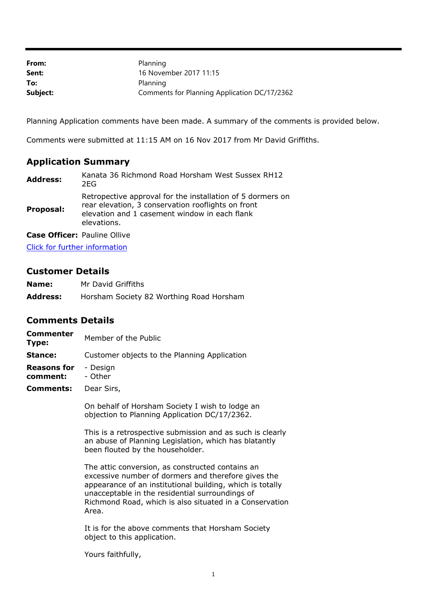| From:    | Planning                                     |
|----------|----------------------------------------------|
| Sent:    | 16 November 2017 11:15                       |
| To:      | Planning                                     |
| Subject: | Comments for Planning Application DC/17/2362 |

Planning Application comments have been made. A summary of the comments is provided below.

Comments were submitted at 11:15 AM on 16 Nov 2017 from Mr David Griffiths.

## **Application Summary**

| <b>Address:</b> | Kanata 36 Richmond Road Horsham West Sussex RH12<br>2EG                                                                                                                          |
|-----------------|----------------------------------------------------------------------------------------------------------------------------------------------------------------------------------|
| Proposal:       | Retropective approval for the installation of 5 dormers on<br>rear elevation, 3 conservation rooflights on front<br>elevation and 1 casement window in each flank<br>elevations. |

**Case Officer:** Pauline Ollive

[Click for further information](https://public-access.horsham.gov.uk/public-access//centralDistribution.do?caseType=Application&keyVal=OY7SWFIJJKM00)

## **Customer Details**

| Name:           | Mr David Griffiths                       |
|-----------------|------------------------------------------|
| <b>Address:</b> | Horsham Society 82 Worthing Road Horsham |

## **Comments Details**

| <b>Commenter</b><br>Type:      | Member of the Public                         |
|--------------------------------|----------------------------------------------|
| Stance:                        | Customer objects to the Planning Application |
| <b>Reasons for</b><br>comment: | - Design<br>- Other                          |
| <b>Comments:</b>               | Dear Sirs,                                   |

On behalf of Horsham Society I wish to lodge an objection to Planning Application DC/17/2362.

This is a retrospective submission and as such is clearly an abuse of Planning Legislation, which has blatantly been flouted by the householder.

The attic conversion, as constructed contains an excessive number of dormers and therefore gives the appearance of an institutional building, which is totally unacceptable in the residential surroundings of Richmond Road, which is also situated in a Conservation Area.

It is for the above comments that Horsham Society object to this application.

Yours faithfully,